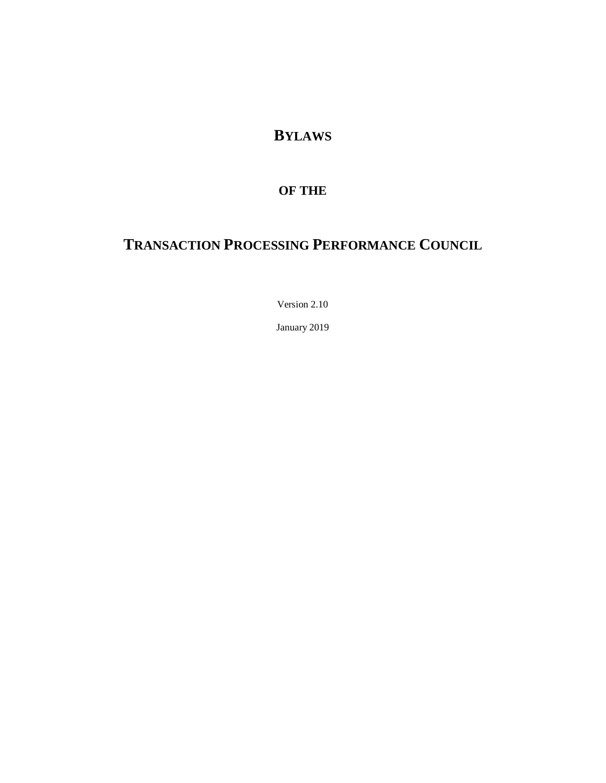**BYLAWS**

# **OF THE**

# **TRANSACTION PROCESSING PERFORMANCE COUNCIL**

Version 2.10

January 2019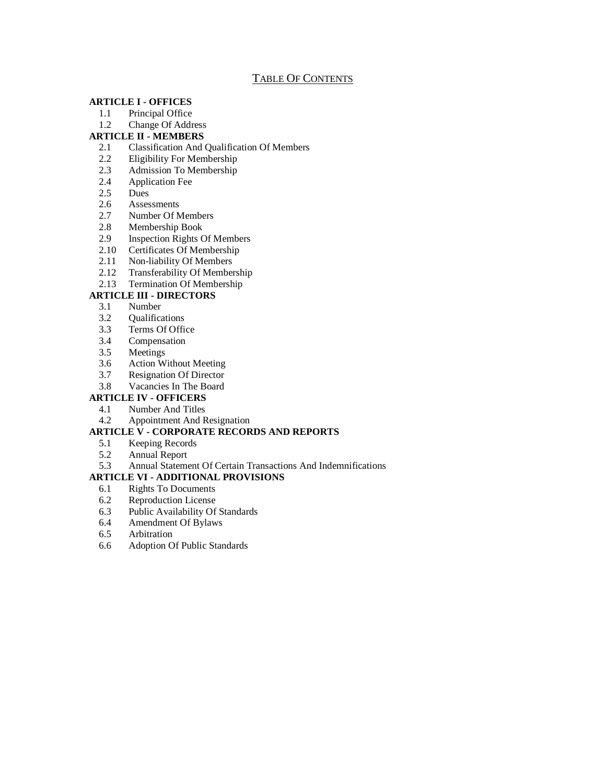# TABLE OF CONTENTS

#### **[ARTICLE I -](#page-2-0) OFFICES**

- 1.1 [Principal Office](#page-2-1)
- 1.2 [Change Of Address](#page-2-2)

#### **[ARTICLE II -](#page-2-3) MEMBERS**

- 2.1 [Classification And Qualification Of Members](#page-2-4)
- 2.2 [Eligibility For Membership](#page-2-5)
- 2.3 [Admission To Membership](#page-3-0)
- 2.4 [Application Fee](#page-3-1)
- 2.5 [Dues](#page-3-2)
- 2.6 [Assessments](#page-3-3)
- 2.7 [Number Of Members](#page-3-4)
- 2.8 [Membership Book](#page-3-5)
- 2.9 [Inspection Rights Of Members](#page-3-6)
- 2.10 [Certificates Of Membership](#page-4-0)
- 2.11 [Non-liability Of Members](#page-4-1)<br>2.12 Transferability Of Member
- [Transferability Of Membership](#page-4-2)
- 2.13 [Termination Of Membership](#page-4-3)

# **[ARTICLE III -](#page-5-0) DIRECTORS**

- 3.1 [Number](#page-5-1)
- 3.2 [Qualifications](#page-5-2)
- 3.3 [Terms Of Office](#page-5-3)
- 3.4 [Compensation](#page-5-4)
- 3.5 [Meetings](#page-5-5)
- 3.6 [Action Without Meeting](#page-6-0)
- 3.7 [Resignation Of Director](#page-6-1)
- 3.8 [Vacancies In The Board](#page-6-2)

# **[ARTICLE IV -](#page-6-3) OFFICERS**

- 4.1 [Number And Titles](#page-6-4)
- 4.2 [Appointment And Resignation](#page-7-0)

# **ARTICLE V - [CORPORATE RECORDS AND REPORTS](#page-7-1)**

- 5.1 [Keeping Records](#page-7-2)
- 5.2 [Annual Report](#page-7-3)
- 5.3 [Annual Statement Of Certain Transactions And Indemnifications](#page-7-4)

#### **ARTICLE VI - [ADDITIONAL PROVISIONS](#page-7-5)**

- 6.1 [Rights To Documents](#page-7-6)
- 6.2 [Reproduction License](#page-7-7)
- 6.3 [Public Availability Of Standards](#page-7-8)
- 6.4 [Amendment Of Bylaws](#page-8-0)
- 6.5 [Arbitration](#page-8-1)
- 6.6 [Adoption Of Public Standards](#page-8-2)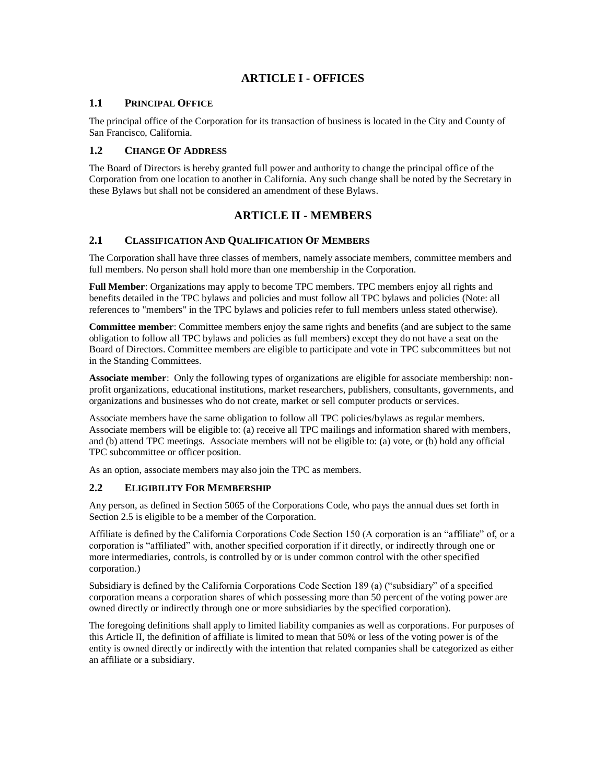# **ARTICLE I - OFFICES**

#### <span id="page-2-1"></span><span id="page-2-0"></span>**1.1 PRINCIPAL OFFICE**

The principal office of the Corporation for its transaction of business is located in the City and County of San Francisco, California.

#### <span id="page-2-2"></span>**1.2 CHANGE OF ADDRESS**

The Board of Directors is hereby granted full power and authority to change the principal office of the Corporation from one location to another in California. Any such change shall be noted by the Secretary in these Bylaws but shall not be considered an amendment of these Bylaws.

# **ARTICLE II - MEMBERS**

# <span id="page-2-4"></span><span id="page-2-3"></span>**2.1 CLASSIFICATION AND QUALIFICATION OF MEMBERS**

The Corporation shall have three classes of members, namely associate members, committee members and full members. No person shall hold more than one membership in the Corporation.

**Full Member**: Organizations may apply to become TPC members. TPC members enjoy all rights and benefits detailed in the TPC bylaws and policies and must follow all TPC bylaws and policies (Note: all references to "members" in the TPC bylaws and policies refer to full members unless stated otherwise).

**Committee member**: Committee members enjoy the same rights and benefits (and are subject to the same obligation to follow all TPC bylaws and policies as full members) except they do not have a seat on the Board of Directors. Committee members are eligible to participate and vote in TPC subcommittees but not in the Standing Committees.

**Associate member**: Only the following types of organizations are eligible for associate membership: nonprofit organizations, educational institutions, market researchers, publishers, consultants, governments, and organizations and businesses who do not create, market or sell computer products or services.

Associate members have the same obligation to follow all TPC policies/bylaws as regular members. Associate members will be eligible to: (a) receive all TPC mailings and information shared with members, and (b) attend TPC meetings. Associate members will not be eligible to: (a) vote, or (b) hold any official TPC subcommittee or officer position.

As an option, associate members may also join the TPC as members.

#### <span id="page-2-5"></span>**2.2 ELIGIBILITY FOR MEMBERSHIP**

Any person, as defined in Section 5065 of the Corporations Code, who pays the annual dues set forth in Section 2.5 is eligible to be a member of the Corporation.

Affiliate is defined by the California Corporations Code Section 150 (A corporation is an "affiliate" of, or a corporation is "affiliated" with, another specified corporation if it directly, or indirectly through one or more intermediaries, controls, is controlled by or is under common control with the other specified corporation.)

Subsidiary is defined by the California Corporations Code Section 189 (a) ("subsidiary" of a specified corporation means a corporation shares of which possessing more than 50 percent of the voting power are owned directly or indirectly through one or more subsidiaries by the specified corporation).

The foregoing definitions shall apply to limited liability companies as well as corporations. For purposes of this Article II, the definition of affiliate is limited to mean that 50% or less of the voting power is of the entity is owned directly or indirectly with the intention that related companies shall be categorized as either an affiliate or a subsidiary.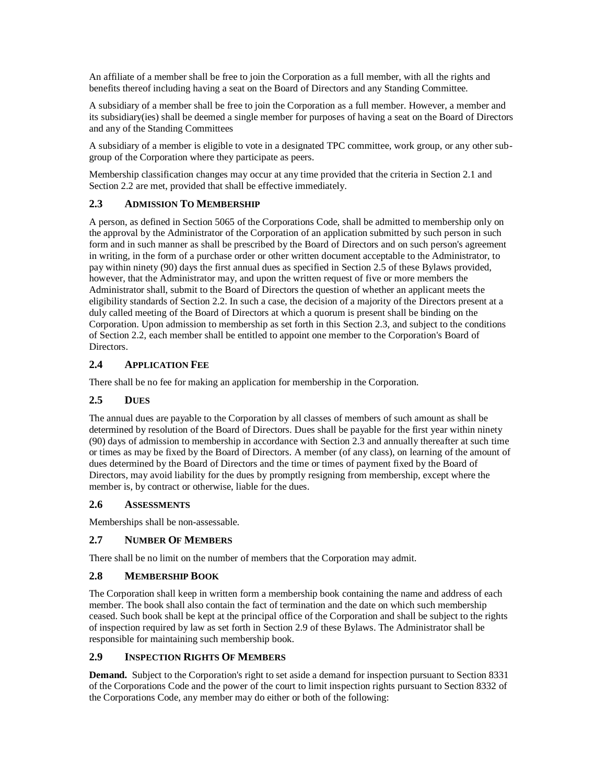An affiliate of a member shall be free to join the Corporation as a full member, with all the rights and benefits thereof including having a seat on the Board of Directors and any Standing Committee.

A subsidiary of a member shall be free to join the Corporation as a full member. However, a member and its subsidiary(ies) shall be deemed a single member for purposes of having a seat on the Board of Directors and any of the Standing Committees

A subsidiary of a member is eligible to vote in a designated TPC committee, work group, or any other subgroup of the Corporation where they participate as peers.

Membership classification changes may occur at any time provided that the criteria in Section 2.1 and Section 2.2 are met, provided that shall be effective immediately.

# <span id="page-3-0"></span>**2.3 ADMISSION TO MEMBERSHIP**

A person, as defined in Section 5065 of the Corporations Code, shall be admitted to membership only on the approval by the Administrator of the Corporation of an application submitted by such person in such form and in such manner as shall be prescribed by the Board of Directors and on such person's agreement in writing, in the form of a purchase order or other written document acceptable to the Administrator, to pay within ninety (90) days the first annual dues as specified in Section 2.5 of these Bylaws provided, however, that the Administrator may, and upon the written request of five or more members the Administrator shall, submit to the Board of Directors the question of whether an applicant meets the eligibility standards of Section 2.2. In such a case, the decision of a majority of the Directors present at a duly called meeting of the Board of Directors at which a quorum is present shall be binding on the Corporation. Upon admission to membership as set forth in this Section 2.3, and subject to the conditions of Section 2.2, each member shall be entitled to appoint one member to the Corporation's Board of Directors.

#### <span id="page-3-1"></span>**2.4 APPLICATION FEE**

There shall be no fee for making an application for membership in the Corporation.

# <span id="page-3-2"></span>**2.5 DUES**

The annual dues are payable to the Corporation by all classes of members of such amount as shall be determined by resolution of the Board of Directors. Dues shall be payable for the first year within ninety (90) days of admission to membership in accordance with Section 2.3 and annually thereafter at such time or times as may be fixed by the Board of Directors. A member (of any class), on learning of the amount of dues determined by the Board of Directors and the time or times of payment fixed by the Board of Directors, may avoid liability for the dues by promptly resigning from membership, except where the member is, by contract or otherwise, liable for the dues.

#### <span id="page-3-3"></span>**2.6 ASSESSMENTS**

Memberships shall be non-assessable.

#### <span id="page-3-4"></span>**2.7 NUMBER OF MEMBERS**

There shall be no limit on the number of members that the Corporation may admit.

#### <span id="page-3-5"></span>**2.8 MEMBERSHIP BOOK**

The Corporation shall keep in written form a membership book containing the name and address of each member. The book shall also contain the fact of termination and the date on which such membership ceased. Such book shall be kept at the principal office of the Corporation and shall be subject to the rights of inspection required by law as set forth in Section 2.9 of these Bylaws. The Administrator shall be responsible for maintaining such membership book.

#### <span id="page-3-6"></span>**2.9 INSPECTION RIGHTS OF MEMBERS**

**Demand.** Subject to the Corporation's right to set aside a demand for inspection pursuant to Section 8331 of the Corporations Code and the power of the court to limit inspection rights pursuant to Section 8332 of the Corporations Code, any member may do either or both of the following: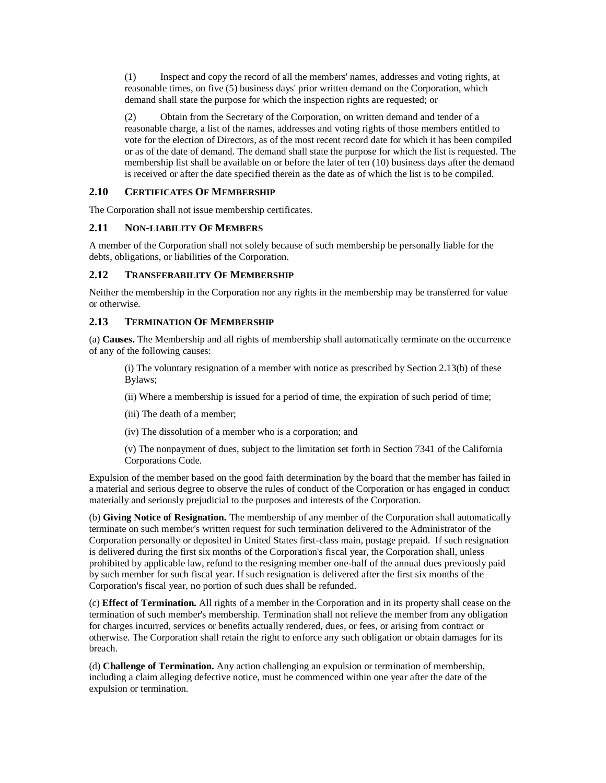(1) Inspect and copy the record of all the members' names, addresses and voting rights, at reasonable times, on five (5) business days' prior written demand on the Corporation, which demand shall state the purpose for which the inspection rights are requested; or

(2) Obtain from the Secretary of the Corporation, on written demand and tender of a reasonable charge, a list of the names, addresses and voting rights of those members entitled to vote for the election of Directors, as of the most recent record date for which it has been compiled or as of the date of demand. The demand shall state the purpose for which the list is requested. The membership list shall be available on or before the later of ten (10) business days after the demand is received or after the date specified therein as the date as of which the list is to be compiled.

#### <span id="page-4-0"></span>**2.10 CERTIFICATES OF MEMBERSHIP**

The Corporation shall not issue membership certificates.

# <span id="page-4-1"></span>**2.11 NON-LIABILITY OF MEMBERS**

A member of the Corporation shall not solely because of such membership be personally liable for the debts, obligations, or liabilities of the Corporation.

# <span id="page-4-2"></span>**2.12 TRANSFERABILITY OF MEMBERSHIP**

Neither the membership in the Corporation nor any rights in the membership may be transferred for value or otherwise.

#### <span id="page-4-3"></span>**2.13 TERMINATION OF MEMBERSHIP**

(a) **Causes.** The Membership and all rights of membership shall automatically terminate on the occurrence of any of the following causes:

(i) The voluntary resignation of a member with notice as prescribed by Section 2.13(b) of these Bylaws;

(ii) Where a membership is issued for a period of time, the expiration of such period of time;

- (iii) The death of a member;
- (iv) The dissolution of a member who is a corporation; and
- (v) The nonpayment of dues, subject to the limitation set forth in Section 7341 of the California Corporations Code.

Expulsion of the member based on the good faith determination by the board that the member has failed in a material and serious degree to observe the rules of conduct of the Corporation or has engaged in conduct materially and seriously prejudicial to the purposes and interests of the Corporation.

(b) **Giving Notice of Resignation.** The membership of any member of the Corporation shall automatically terminate on such member's written request for such termination delivered to the Administrator of the Corporation personally or deposited in United States first-class main, postage prepaid. If such resignation is delivered during the first six months of the Corporation's fiscal year, the Corporation shall, unless prohibited by applicable law, refund to the resigning member one-half of the annual dues previously paid by such member for such fiscal year. If such resignation is delivered after the first six months of the Corporation's fiscal year, no portion of such dues shall be refunded.

(c) **Effect of Termination.** All rights of a member in the Corporation and in its property shall cease on the termination of such member's membership. Termination shall not relieve the member from any obligation for charges incurred, services or benefits actually rendered, dues, or fees, or arising from contract or otherwise. The Corporation shall retain the right to enforce any such obligation or obtain damages for its breach.

(d) **Challenge of Termination.** Any action challenging an expulsion or termination of membership, including a claim alleging defective notice, must be commenced within one year after the date of the expulsion or termination.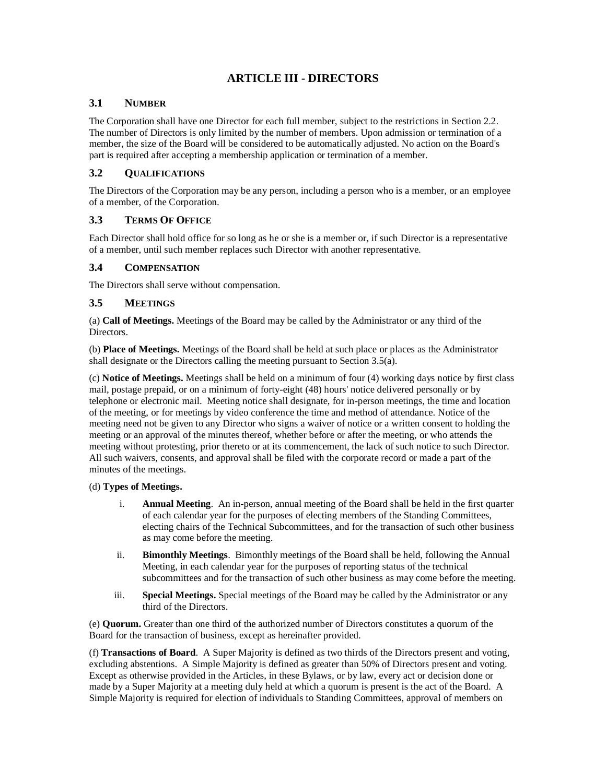# **ARTICLE III - DIRECTORS**

# <span id="page-5-1"></span><span id="page-5-0"></span>**3.1 NUMBER**

The Corporation shall have one Director for each full member, subject to the restrictions in Section 2.2. The number of Directors is only limited by the number of members. Upon admission or termination of a member, the size of the Board will be considered to be automatically adjusted. No action on the Board's part is required after accepting a membership application or termination of a member.

#### <span id="page-5-2"></span>**3.2 QUALIFICATIONS**

The Directors of the Corporation may be any person, including a person who is a member, or an employee of a member, of the Corporation.

#### <span id="page-5-3"></span>**3.3 TERMS OF OFFICE**

Each Director shall hold office for so long as he or she is a member or, if such Director is a representative of a member, until such member replaces such Director with another representative.

#### <span id="page-5-4"></span>**3.4 COMPENSATION**

The Directors shall serve without compensation.

#### <span id="page-5-5"></span>**3.5 MEETINGS**

(a) **Call of Meetings.** Meetings of the Board may be called by the Administrator or any third of the Directors.

(b) **Place of Meetings.** Meetings of the Board shall be held at such place or places as the Administrator shall designate or the Directors calling the meeting pursuant to Section 3.5(a).

(c) **Notice of Meetings.** Meetings shall be held on a minimum of four (4) working days notice by first class mail, postage prepaid, or on a minimum of forty-eight (48) hours' notice delivered personally or by telephone or electronic mail. Meeting notice shall designate, for in-person meetings, the time and location of the meeting, or for meetings by video conference the time and method of attendance. Notice of the meeting need not be given to any Director who signs a waiver of notice or a written consent to holding the meeting or an approval of the minutes thereof, whether before or after the meeting, or who attends the meeting without protesting, prior thereto or at its commencement, the lack of such notice to such Director. All such waivers, consents, and approval shall be filed with the corporate record or made a part of the minutes of the meetings.

#### (d) **Types of Meetings.**

- i. **Annual Meeting**. An in-person, annual meeting of the Board shall be held in the first quarter of each calendar year for the purposes of electing members of the Standing Committees, electing chairs of the Technical Subcommittees, and for the transaction of such other business as may come before the meeting.
- ii. **Bimonthly Meetings**. Bimonthly meetings of the Board shall be held, following the Annual Meeting, in each calendar year for the purposes of reporting status of the technical subcommittees and for the transaction of such other business as may come before the meeting.
- iii. **Special Meetings.** Special meetings of the Board may be called by the Administrator or any third of the Directors.

(e) **Quorum.** Greater than one third of the authorized number of Directors constitutes a quorum of the Board for the transaction of business, except as hereinafter provided.

(f) **Transactions of Board**. A Super Majority is defined as two thirds of the Directors present and voting, excluding abstentions. A Simple Majority is defined as greater than 50% of Directors present and voting. Except as otherwise provided in the Articles, in these Bylaws, or by law, every act or decision done or made by a Super Majority at a meeting duly held at which a quorum is present is the act of the Board. A Simple Majority is required for election of individuals to Standing Committees, approval of members on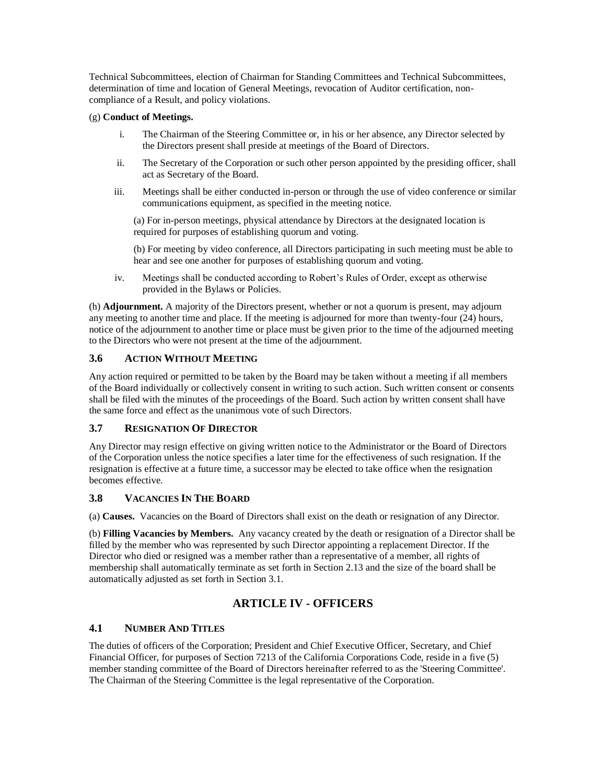Technical Subcommittees, election of Chairman for Standing Committees and Technical Subcommittees, determination of time and location of General Meetings, revocation of Auditor certification, noncompliance of a Result, and policy violations.

#### (g) **Conduct of Meetings.**

- i. The Chairman of the Steering Committee or, in his or her absence, any Director selected by the Directors present shall preside at meetings of the Board of Directors.
- ii. The Secretary of the Corporation or such other person appointed by the presiding officer, shall act as Secretary of the Board.
- iii. Meetings shall be either conducted in-person or through the use of video conference or similar communications equipment, as specified in the meeting notice.

(a) For in-person meetings, physical attendance by Directors at the designated location is required for purposes of establishing quorum and voting.

(b) For meeting by video conference, all Directors participating in such meeting must be able to hear and see one another for purposes of establishing quorum and voting.

iv. Meetings shall be conducted according to Robert's Rules of Order, except as otherwise provided in the Bylaws or Policies.

(h) **Adjournment.** A majority of the Directors present, whether or not a quorum is present, may adjourn any meeting to another time and place. If the meeting is adjourned for more than twenty-four (24) hours, notice of the adjournment to another time or place must be given prior to the time of the adjourned meeting to the Directors who were not present at the time of the adjournment.

# <span id="page-6-0"></span>**3.6 ACTION WITHOUT MEETING**

Any action required or permitted to be taken by the Board may be taken without a meeting if all members of the Board individually or collectively consent in writing to such action. Such written consent or consents shall be filed with the minutes of the proceedings of the Board. Such action by written consent shall have the same force and effect as the unanimous vote of such Directors.

#### <span id="page-6-1"></span>**3.7 RESIGNATION OF DIRECTOR**

Any Director may resign effective on giving written notice to the Administrator or the Board of Directors of the Corporation unless the notice specifies a later time for the effectiveness of such resignation. If the resignation is effective at a future time, a successor may be elected to take office when the resignation becomes effective.

# <span id="page-6-2"></span>**3.8 VACANCIES IN THE BOARD**

(a) **Causes.** Vacancies on the Board of Directors shall exist on the death or resignation of any Director.

(b) **Filling Vacancies by Members.** Any vacancy created by the death or resignation of a Director shall be filled by the member who was represented by such Director appointing a replacement Director. If the Director who died or resigned was a member rather than a representative of a member, all rights of membership shall automatically terminate as set forth in Section 2.13 and the size of the board shall be automatically adjusted as set forth in Section 3.1.

# **ARTICLE IV - OFFICERS**

# <span id="page-6-4"></span><span id="page-6-3"></span>**4.1 NUMBER AND TITLES**

The duties of officers of the Corporation; President and Chief Executive Officer, Secretary, and Chief Financial Officer, for purposes of Section 7213 of the California Corporations Code, reside in a five (5) member standing committee of the Board of Directors hereinafter referred to as the 'Steering Committee'. The Chairman of the Steering Committee is the legal representative of the Corporation.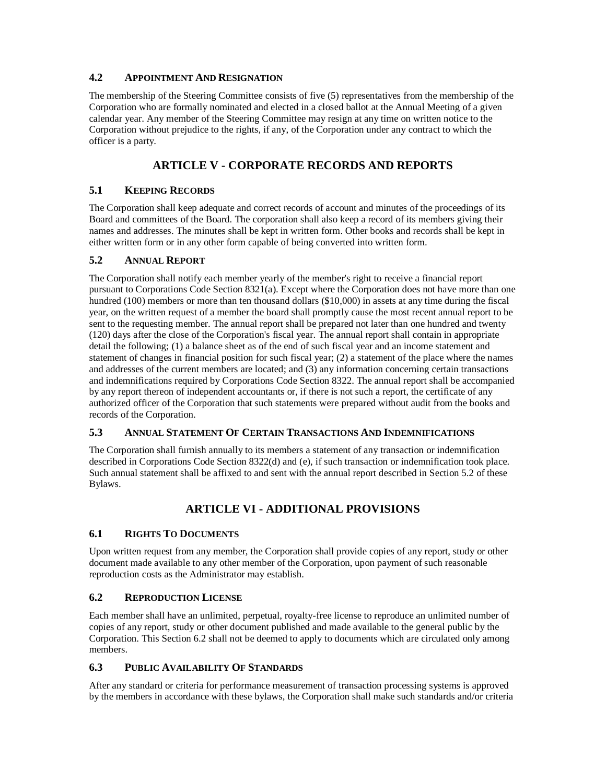# <span id="page-7-0"></span>**4.2 APPOINTMENT AND RESIGNATION**

The membership of the Steering Committee consists of five (5) representatives from the membership of the Corporation who are formally nominated and elected in a closed ballot at the Annual Meeting of a given calendar year. Any member of the Steering Committee may resign at any time on written notice to the Corporation without prejudice to the rights, if any, of the Corporation under any contract to which the officer is a party.

# **ARTICLE V - CORPORATE RECORDS AND REPORTS**

# <span id="page-7-2"></span><span id="page-7-1"></span>**5.1 KEEPING RECORDS**

The Corporation shall keep adequate and correct records of account and minutes of the proceedings of its Board and committees of the Board. The corporation shall also keep a record of its members giving their names and addresses. The minutes shall be kept in written form. Other books and records shall be kept in either written form or in any other form capable of being converted into written form.

# <span id="page-7-3"></span>**5.2 ANNUAL REPORT**

The Corporation shall notify each member yearly of the member's right to receive a financial report pursuant to Corporations Code Section 8321(a). Except where the Corporation does not have more than one hundred (100) members or more than ten thousand dollars (\$10,000) in assets at any time during the fiscal year, on the written request of a member the board shall promptly cause the most recent annual report to be sent to the requesting member. The annual report shall be prepared not later than one hundred and twenty (120) days after the close of the Corporation's fiscal year. The annual report shall contain in appropriate detail the following; (1) a balance sheet as of the end of such fiscal year and an income statement and statement of changes in financial position for such fiscal year; (2) a statement of the place where the names and addresses of the current members are located; and (3) any information concerning certain transactions and indemnifications required by Corporations Code Section 8322. The annual report shall be accompanied by any report thereon of independent accountants or, if there is not such a report, the certificate of any authorized officer of the Corporation that such statements were prepared without audit from the books and records of the Corporation.

# <span id="page-7-4"></span>**5.3 ANNUAL STATEMENT OF CERTAIN TRANSACTIONS AND INDEMNIFICATIONS**

The Corporation shall furnish annually to its members a statement of any transaction or indemnification described in Corporations Code Section 8322(d) and (e), if such transaction or indemnification took place. Such annual statement shall be affixed to and sent with the annual report described in Section 5.2 of these Bylaws.

# **ARTICLE VI - ADDITIONAL PROVISIONS**

# <span id="page-7-6"></span><span id="page-7-5"></span>**6.1 RIGHTS TO DOCUMENTS**

Upon written request from any member, the Corporation shall provide copies of any report, study or other document made available to any other member of the Corporation, upon payment of such reasonable reproduction costs as the Administrator may establish.

# <span id="page-7-7"></span>**6.2 REPRODUCTION LICENSE**

Each member shall have an unlimited, perpetual, royalty-free license to reproduce an unlimited number of copies of any report, study or other document published and made available to the general public by the Corporation. This Section 6.2 shall not be deemed to apply to documents which are circulated only among members.

# <span id="page-7-8"></span>**6.3 PUBLIC AVAILABILITY OF STANDARDS**

After any standard or criteria for performance measurement of transaction processing systems is approved by the members in accordance with these bylaws, the Corporation shall make such standards and/or criteria